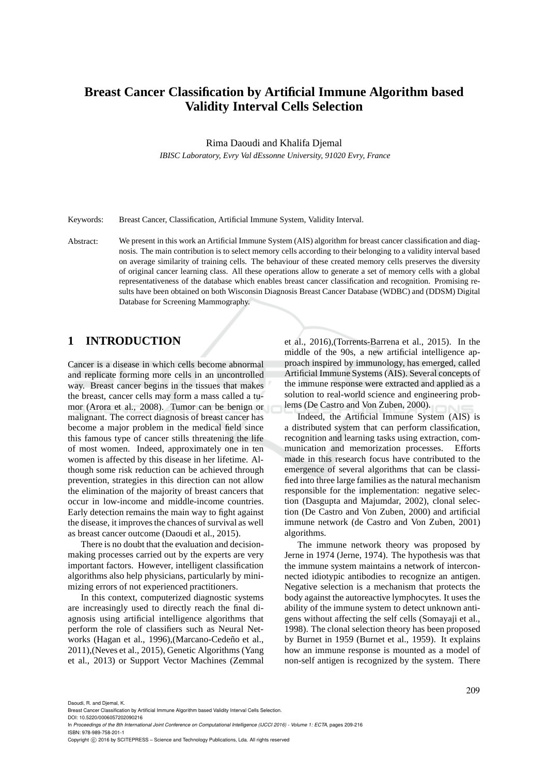# **Breast Cancer Classification by Artificial Immune Algorithm based Validity Interval Cells Selection**

Rima Daoudi and Khalifa Djemal

*IBISC Laboratory, Evry Val dEssonne University, 91020 Evry, France*

Keywords: Breast Cancer, Classification, Artificial Immune System, Validity Interval.

Abstract: We present in this work an Artificial Immune System (AIS) algorithm for breast cancer classification and diagnosis. The main contribution is to select memory cells according to their belonging to a validity interval based on average similarity of training cells. The behaviour of these created memory cells preserves the diversity of original cancer learning class. All these operations allow to generate a set of memory cells with a global representativeness of the database which enables breast cancer classification and recognition. Promising results have been obtained on both Wisconsin Diagnosis Breast Cancer Database (WDBC) and (DDSM) Digital Database for Screening Mammography.

## **1 INTRODUCTION**

Cancer is a disease in which cells become abnormal and replicate forming more cells in an uncontrolled way. Breast cancer begins in the tissues that makes the breast, cancer cells may form a mass called a tumor (Arora et al., 2008). Tumor can be benign or malignant. The correct diagnosis of breast cancer has become a major problem in the medical field since this famous type of cancer stills threatening the life of most women. Indeed, approximately one in ten women is affected by this disease in her lifetime. Although some risk reduction can be achieved through prevention, strategies in this direction can not allow the elimination of the majority of breast cancers that occur in low-income and middle-income countries. Early detection remains the main way to fight against the disease, it improves the chances of survival as well as breast cancer outcome (Daoudi et al., 2015).

There is no doubt that the evaluation and decisionmaking processes carried out by the experts are very important factors. However, intelligent classification algorithms also help physicians, particularly by minimizing errors of not experienced practitioners.

In this context, computerized diagnostic systems are increasingly used to directly reach the final diagnosis using artificial intelligence algorithms that perform the role of classifiers such as Neural Networks (Hagan et al., 1996), (Marcano-Cedeño et al., 2011),(Neves et al., 2015), Genetic Algorithms (Yang et al., 2013) or Support Vector Machines (Zemmal et al., 2016),(Torrents-Barrena et al., 2015). In the middle of the 90s, a new artificial intelligence approach inspired by immunology, has emerged, called Artificial Immune Systems (AIS). Several concepts of the immune response were extracted and applied as a solution to real-world science and engineering problems (De Castro and Von Zuben, 2000).

Indeed, the Artificial Immune System (AIS) is a distributed system that can perform classification, recognition and learning tasks using extraction, communication and memorization processes. Efforts made in this research focus have contributed to the emergence of several algorithms that can be classified into three large families as the natural mechanism responsible for the implementation: negative selection (Dasgupta and Majumdar, 2002), clonal selection (De Castro and Von Zuben, 2000) and artificial immune network (de Castro and Von Zuben, 2001) algorithms.

The immune network theory was proposed by Jerne in 1974 (Jerne, 1974). The hypothesis was that the immune system maintains a network of interconnected idiotypic antibodies to recognize an antigen. Negative selection is a mechanism that protects the body against the autoreactive lymphocytes. It uses the ability of the immune system to detect unknown antigens without affecting the self cells (Somayaji et al., 1998). The clonal selection theory has been proposed by Burnet in 1959 (Burnet et al., 1959). It explains how an immune response is mounted as a model of non-self antigen is recognized by the system. There

Daoudi, R. and Djemal, K.

In *Proceedings of the 8th International Joint Conference on Computational Intelligence (IJCCI 2016) - Volume 1: ECTA*, pages 209-216 ISBN: 978-989-758-201-1

Breast Cancer Classification by Artificial Immune Algorithm based Validity Interval Cells Selection.

DOI: 10.5220/0006057202090216

Copyright (C) 2016 by SCITEPRESS - Science and Technology Publications, Lda. All rights reserved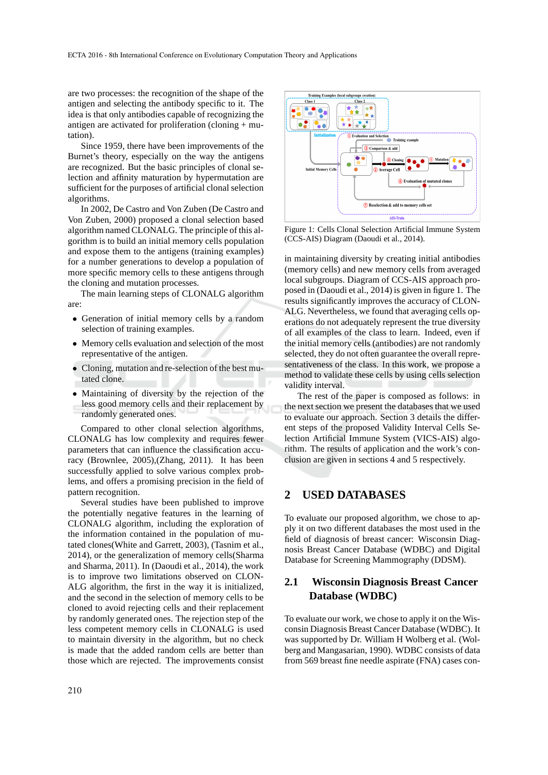are two processes: the recognition of the shape of the antigen and selecting the antibody specific to it. The idea is that only antibodies capable of recognizing the antigen are activated for proliferation (cloning + mutation).

Since 1959, there have been improvements of the Burnet's theory, especially on the way the antigens are recognized. But the basic principles of clonal selection and affinity maturation by hypermutation are sufficient for the purposes of artificial clonal selection algorithms.

In 2002, De Castro and Von Zuben (De Castro and Von Zuben, 2000) proposed a clonal selection based algorithm named CLONALG. The principle of this algorithm is to build an initial memory cells population and expose them to the antigens (training examples) for a number generations to develop a population of more specific memory cells to these antigens through the cloning and mutation processes.

The main learning steps of CLONALG algorithm are:

- Generation of initial memory cells by a random selection of training examples.
- Memory cells evaluation and selection of the most representative of the antigen.
- Cloning, mutation and re-selection of the best mutated clone.
- Maintaining of diversity by the rejection of the less good memory cells and their replacement by randomly generated ones.

Compared to other clonal selection algorithms, CLONALG has low complexity and requires fewer parameters that can influence the classification accuracy (Brownlee, 2005),(Zhang, 2011). It has been successfully applied to solve various complex problems, and offers a promising precision in the field of pattern recognition.

Several studies have been published to improve the potentially negative features in the learning of CLONALG algorithm, including the exploration of the information contained in the population of mutated clones(White and Garrett, 2003), (Tasnim et al., 2014), or the generalization of memory cells(Sharma and Sharma, 2011). In (Daoudi et al., 2014), the work is to improve two limitations observed on CLON-ALG algorithm, the first in the way it is initialized, and the second in the selection of memory cells to be cloned to avoid rejecting cells and their replacement by randomly generated ones. The rejection step of the less competent memory cells in CLONALG is used to maintain diversity in the algorithm, but no check is made that the added random cells are better than those which are rejected. The improvements consist



Figure 1: Cells Clonal Selection Artificial Immune System (CCS-AIS) Diagram (Daoudi et al., 2014).

in maintaining diversity by creating initial antibodies (memory cells) and new memory cells from averaged local subgroups. Diagram of CCS-AIS approach proposed in (Daoudi et al., 2014) is given in figure 1. The results significantly improves the accuracy of CLON-ALG. Nevertheless, we found that averaging cells operations do not adequately represent the true diversity of all examples of the class to learn. Indeed, even if the initial memory cells (antibodies) are not randomly selected, they do not often guarantee the overall representativeness of the class. In this work, we propose a method to validate these cells by using cells selection validity interval.

The rest of the paper is composed as follows: in the next section we present the databases that we used to evaluate our approach. Section 3 details the different steps of the proposed Validity Interval Cells Selection Artificial Immune System (VICS-AIS) algorithm. The results of application and the work's conclusion are given in sections 4 and 5 respectively.

## **2 USED DATABASES**

To evaluate our proposed algorithm, we chose to apply it on two different databases the most used in the field of diagnosis of breast cancer: Wisconsin Diagnosis Breast Cancer Database (WDBC) and Digital Database for Screening Mammography (DDSM).

# **2.1 Wisconsin Diagnosis Breast Cancer Database (WDBC)**

To evaluate our work, we chose to apply it on the Wisconsin Diagnosis Breast Cancer Database (WDBC). It was supported by Dr. William H Wolberg et al. (Wolberg and Mangasarian, 1990). WDBC consists of data from 569 breast fine needle aspirate (FNA) cases con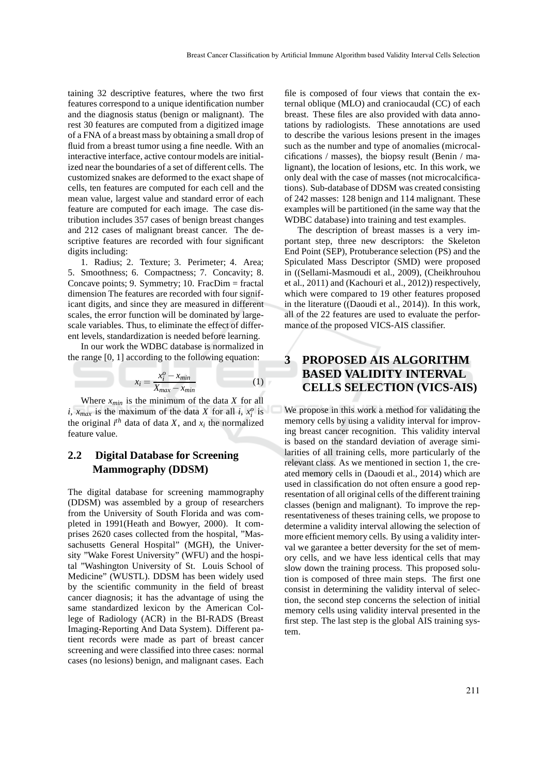taining 32 descriptive features, where the two first features correspond to a unique identification number and the diagnosis status (benign or malignant). The rest 30 features are computed from a digitized image of a FNA of a breast mass by obtaining a small drop of fluid from a breast tumor using a fine needle. With an interactive interface, active contour models are initialized near the boundaries of a set of different cells. The customized snakes are deformed to the exact shape of cells, ten features are computed for each cell and the mean value, largest value and standard error of each feature are computed for each image. The case distribution includes 357 cases of benign breast changes and 212 cases of malignant breast cancer. The descriptive features are recorded with four significant digits including:

1. Radius; 2. Texture; 3. Perimeter; 4. Area; 5. Smoothness; 6. Compactness; 7. Concavity; 8. Concave points; 9. Symmetry; 10. FracDim = fractal dimension The features are recorded with four significant digits, and since they are measured in different scales, the error function will be dominated by largescale variables. Thus, to eliminate the effect of different levels, standardization is needed before learning.

In our work the WDBC database is normalized in the range [0, 1] according to the following equation:

$$
x_i = \frac{x_i^o - x_{min}}{X_{max} - x_{min}}\tag{1}
$$

Where  $x_{min}$  is the minimum of the data *X* for all *i*, *x<sub>max</sub>* is the maximum of the data *X* for all *i*,  $x_i^o$  is the original  $i^{th}$  data of data *X*, and  $x_i$  the normalized feature value.

# **2.2 Digital Database for Screening Mammography (DDSM)**

The digital database for screening mammography (DDSM) was assembled by a group of researchers from the University of South Florida and was completed in 1991(Heath and Bowyer, 2000). It comprises 2620 cases collected from the hospital, "Massachusetts General Hospital" (MGH), the University "Wake Forest University" (WFU) and the hospital "Washington University of St. Louis School of Medicine" (WUSTL). DDSM has been widely used by the scientific community in the field of breast cancer diagnosis; it has the advantage of using the same standardized lexicon by the American College of Radiology (ACR) in the BI-RADS (Breast Imaging-Reporting And Data System). Different patient records were made as part of breast cancer screening and were classified into three cases: normal cases (no lesions) benign, and malignant cases. Each

file is composed of four views that contain the external oblique (MLO) and craniocaudal (CC) of each breast. These files are also provided with data annotations by radiologists. These annotations are used to describe the various lesions present in the images such as the number and type of anomalies (microcalcifications / masses), the biopsy result (Benin / malignant), the location of lesions, etc. In this work, we only deal with the case of masses (not microcalcifications). Sub-database of DDSM was created consisting of 242 masses: 128 benign and 114 malignant. These examples will be partitioned (in the same way that the WDBC database) into training and test examples.

The description of breast masses is a very important step, three new descriptors: the Skeleton End Point (SEP), Protuberance selection (PS) and the Spiculated Mass Descriptor (SMD) were proposed in ((Sellami-Masmoudi et al., 2009), (Cheikhrouhou et al., 2011) and (Kachouri et al., 2012)) respectively, which were compared to 19 other features proposed in the literature ((Daoudi et al., 2014)). In this work, all of the 22 features are used to evaluate the performance of the proposed VICS-AIS classifier.

# **3 PROPOSED AIS ALGORITHM BASED VALIDITY INTERVAL CELLS SELECTION (VICS-AIS)**

We propose in this work a method for validating the memory cells by using a validity interval for improving breast cancer recognition. This validity interval is based on the standard deviation of average similarities of all training cells, more particularly of the relevant class. As we mentioned in section 1, the created memory cells in (Daoudi et al., 2014) which are used in classification do not often ensure a good representation of all original cells of the different training classes (benign and malignant). To improve the representativeness of theses training cells, we propose to determine a validity interval allowing the selection of more efficient memory cells. By using a validity interval we garantee a better deversity for the set of memory cells, and we have less identical cells that may slow down the training process. This proposed solution is composed of three main steps. The first one consist in determining the validity interval of selection, the second step concerns the selection of initial memory cells using validity interval presented in the first step. The last step is the global AIS training system.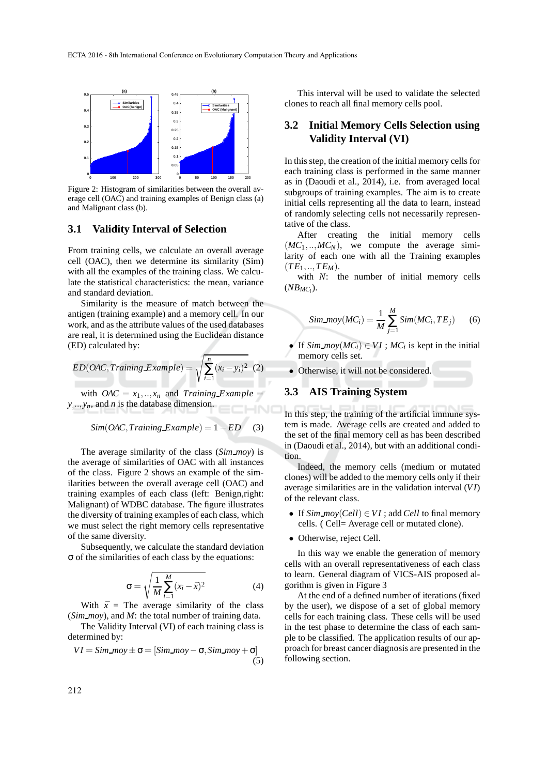

Figure 2: Histogram of similarities between the overall average cell (OAC) and training examples of Benign class (a) and Malignant class (b).

#### **3.1 Validity Interval of Selection**

From training cells, we calculate an overall average cell (OAC), then we determine its similarity (Sim) with all the examples of the training class. We calculate the statistical characteristics: the mean, variance and standard deviation.

Similarity is the measure of match between the antigen (training example) and a memory cell. In our work, and as the attribute values of the used databases are real, it is determined using the Euclidean distance (ED) calculated by:

$$
ED(OAC, Training\_Example) = \sqrt{\sum_{i=1}^{n} (x_i - y_i)^2} \tag{2}
$$

with  $OAC = x_1, \ldots, x_n$  and *Training Example* = *y*, ..,*yn*, and *n* is the database dimension.

$$
Sim(OAC, Training\_Example) = 1 - ED
$$
 (3)

The average similarity of the class (*Sim moy*) is the average of similarities of OAC with all instances of the class. Figure 2 shows an example of the similarities between the overall average cell (OAC) and training examples of each class (left: Benign,right: Malignant) of WDBC database. The figure illustrates the diversity of training examples of each class, which we must select the right memory cells representative of the same diversity.

Subsequently, we calculate the standard deviation σ of the similarities of each class by the equations:

$$
\sigma = \sqrt{\frac{1}{M} \sum_{i=1}^{M} (x_i - \bar{x})^2}
$$
 (4)

With  $\bar{x}$  = The average similarity of the class (*Sim moy*), and *M*: the total number of training data.

The Validity Interval (VI) of each training class is determined by:

$$
VI = Sim\_mov \pm \sigma = [Sim\_mov - \sigma, Sim\_mov + \sigma]
$$
\n(5)

This interval will be used to validate the selected clones to reach all final memory cells pool.

## **3.2 Initial Memory Cells Selection using Validity Interval (VI)**

In this step, the creation of the initial memory cells for each training class is performed in the same manner as in (Daoudi et al., 2014), i.e. from averaged local subgroups of training examples. The aim is to create initial cells representing all the data to learn, instead of randomly selecting cells not necessarily representative of the class.

After creating the initial memory cells  $(MC_1, \ldots, MC_N)$ , we compute the average similarity of each one with all the Training examples  $(T E_1, ..., T E_M)$ .

with *N*: the number of initial memory cells  $(NB_{MC_i})$ .

$$
Sim\_mov(MC_i) = \frac{1}{M} \sum_{j=1}^{M} Sim(MC_i, TE_j) \qquad (6)
$$

- If  $Sim\_mov(MC_i) \in VI$ ;  $MC_i$  is kept in the initial memory cells set.
- Otherwise, it will not be considered.

## **3.3 AIS Training System**

In this step, the training of the artificial immune system is made. Average cells are created and added to the set of the final memory cell as has been described in (Daoudi et al., 2014), but with an additional condition.

Indeed, the memory cells (medium or mutated clones) will be added to the memory cells only if their average similarities are in the validation interval (*VI*) of the relevant class.

- If  $Sim\_mov(Cell) \in VI$ ; add *Cell* to final memory cells. ( Cell= Average cell or mutated clone).
- Otherwise, reject Cell.

In this way we enable the generation of memory cells with an overall representativeness of each class to learn. General diagram of VICS-AIS proposed algorithm is given in Figure 3

At the end of a defined number of iterations (fixed by the user), we dispose of a set of global memory cells for each training class. These cells will be used in the test phase to determine the class of each sample to be classified. The application results of our approach for breast cancer diagnosis are presented in the following section.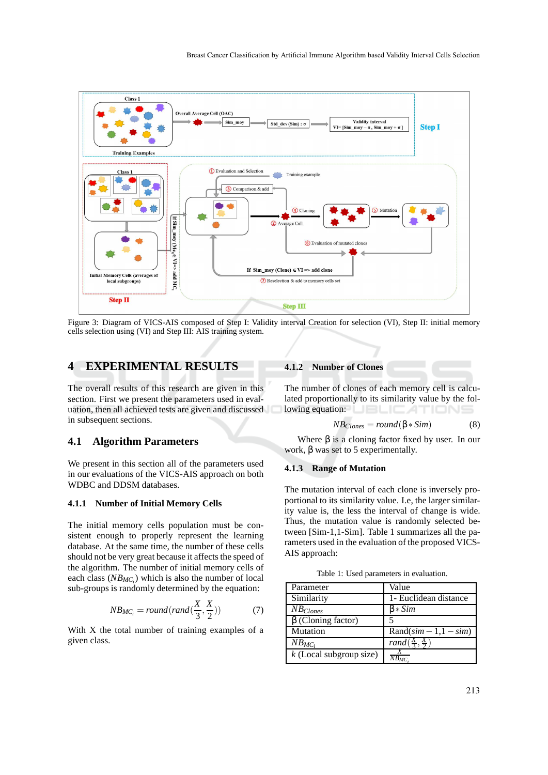

Figure 3: Diagram of VICS-AIS composed of Step I: Validity interval Creation for selection (VI), Step II: initial memory cells selection using (VI) and Step III: AIS training system.

## **4 EXPERIMENTAL RESULTS**

The overall results of this research are given in this section. First we present the parameters used in evaluation, then all achieved tests are given and discussed in subsequent sections.

### **4.1 Algorithm Parameters**

We present in this section all of the parameters used in our evaluations of the VICS-AIS approach on both WDBC and DDSM databases.

#### **4.1.1 Number of Initial Memory Cells**

The initial memory cells population must be consistent enough to properly represent the learning database. At the same time, the number of these cells should not be very great because it affects the speed of the algorithm. The number of initial memory cells of each class (*NBMC<sup>i</sup>* ) which is also the number of local sub-groups is randomly determined by the equation:

$$
NB_{MC_i} = round(rand(\frac{X}{3}, \frac{X}{2}))
$$
 (7)

With X the total number of training examples of a given class.

### **4.1.2 Number of Clones**

The number of clones of each memory cell is calculated proportionally to its similarity value by the following equation: UBLICATIONS

$$
NB_{Clones} = round(\beta * Sim)
$$
 (8)

Where β is a cloning factor fixed by user. In our work, β was set to 5 experimentally.

#### **4.1.3 Range of Mutation**

The mutation interval of each clone is inversely proportional to its similarity value. I.e, the larger similarity value is, the less the interval of change is wide. Thus, the mutation value is randomly selected between [Sim-1,1-Sim]. Table 1 summarizes all the parameters used in the evaluation of the proposed VICS-AIS approach:

Table 1: Used parameters in evaluation.

| Parameter                 | Value                                             |
|---------------------------|---------------------------------------------------|
| Similarity                | 1- Euclidean distance                             |
| $\overline{N}B_{Clones}$  | $\beta * Sim$                                     |
| $\beta$ (Cloning factor)  |                                                   |
| Mutation                  | $\text{Rand}(\textit{sim} - 1, 1 - \textit{sim})$ |
| $NB_{MC_i}$               | rand $(\frac{X}{3}, \frac{X}{2})$                 |
| $k$ (Local subgroup size) | $\overline{N}B_{MC}$                              |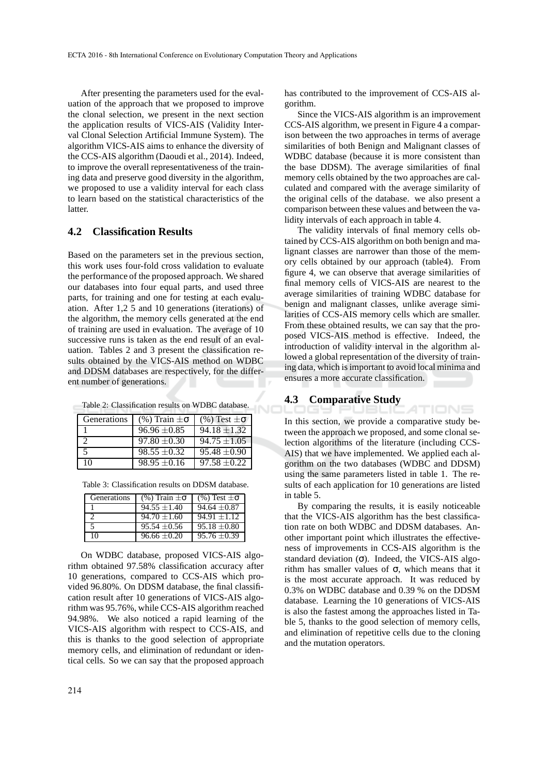After presenting the parameters used for the evaluation of the approach that we proposed to improve the clonal selection, we present in the next section the application results of VICS-AIS (Validity Interval Clonal Selection Artificial Immune System). The algorithm VICS-AIS aims to enhance the diversity of the CCS-AIS algorithm (Daoudi et al., 2014). Indeed, to improve the overall representativeness of the training data and preserve good diversity in the algorithm, we proposed to use a validity interval for each class to learn based on the statistical characteristics of the **latter** 

## **4.2 Classification Results**

Based on the parameters set in the previous section, this work uses four-fold cross validation to evaluate the performance of the proposed approach. We shared our databases into four equal parts, and used three parts, for training and one for testing at each evaluation. After 1,2 5 and 10 generations (iterations) of the algorithm, the memory cells generated at the end of training are used in evaluation. The average of 10 successive runs is taken as the end result of an evaluation. Tables 2 and 3 present the classification results obtained by the VICS-AIS method on WDBC and DDSM databases are respectively, for the different number of generations.

Table 2: Classification results on WDBC database.

| Generations | $(\%)$ Train $\pm \sigma$ | $(\%)$ Test $\pm \sigma$ |
|-------------|---------------------------|--------------------------|
|             | $96.96 \pm 0.85$          | $94.18 \pm 1.32$         |
|             | $97.80 \pm 0.30$          | $94.75 + 1.05$           |
| 5           | $98.55 \pm 0.32$          | $95.48 \pm 0.90$         |
| 10          | $98.95 \pm 0.16$          | $97.58 \pm 0.22$         |

| Table 3: Classification results on DDSM database. |
|---------------------------------------------------|
|---------------------------------------------------|

| Generations | $(\%)$ Train $\pm \sigma$ | $(\%)$ Test $\pm \sigma$ |
|-------------|---------------------------|--------------------------|
|             | $94.55 \pm 1.40$          | $94.64 \pm 0.87$         |
|             | $94.70 \pm 1.60$          | $94.91 + 1.12$           |
|             | $95.54 \pm 0.56$          | $95.18 + 0.80$           |
| 10          | $96.66 \pm 0.20$          | $95.76 + 0.39$           |

On WDBC database, proposed VICS-AIS algorithm obtained 97.58% classification accuracy after 10 generations, compared to CCS-AIS which provided 96.80%. On DDSM database, the final classification result after 10 generations of VICS-AIS algorithm was 95.76%, while CCS-AIS algorithm reached 94.98%. We also noticed a rapid learning of the VICS-AIS algorithm with respect to CCS-AIS, and this is thanks to the good selection of appropriate memory cells, and elimination of redundant or identical cells. So we can say that the proposed approach

has contributed to the improvement of CCS-AIS algorithm.

Since the VICS-AIS algorithm is an improvement CCS-AIS algorithm, we present in Figure 4 a comparison between the two approaches in terms of average similarities of both Benign and Malignant classes of WDBC database (because it is more consistent than the base DDSM). The average similarities of final memory cells obtained by the two approaches are calculated and compared with the average similarity of the original cells of the database. we also present a comparison between these values and between the validity intervals of each approach in table 4.

The validity intervals of final memory cells obtained by CCS-AIS algorithm on both benign and malignant classes are narrower than those of the memory cells obtained by our approach (table4). From figure 4, we can observe that average similarities of final memory cells of VICS-AIS are nearest to the average similarities of training WDBC database for benign and malignant classes, unlike average similarities of CCS-AIS memory cells which are smaller. From these obtained results, we can say that the proposed VICS-AIS method is effective. Indeed, the introduction of validity interval in the algorithm allowed a global representation of the diversity of training data, which is important to avoid local minima and ensures a more accurate classification.

#### **4.3 Comparative Study**

In this section, we provide a comparative study between the approach we proposed, and some clonal selection algorithms of the literature (including CCS-AIS) that we have implemented. We applied each algorithm on the two databases (WDBC and DDSM) using the same parameters listed in table 1. The results of each application for 10 generations are listed in table 5.

4TIONS

By comparing the results, it is easily noticeable that the VICS-AIS algorithm has the best classification rate on both WDBC and DDSM databases. Another important point which illustrates the effectiveness of improvements in CCS-AIS algorithm is the standard deviation  $(\sigma)$ . Indeed, the VICS-AIS algorithm has smaller values of σ, which means that it is the most accurate approach. It was reduced by 0.3% on WDBC database and 0.39 % on the DDSM database. Learning the 10 generations of VICS-AIS is also the fastest among the approaches listed in Table 5, thanks to the good selection of memory cells, and elimination of repetitive cells due to the cloning and the mutation operators.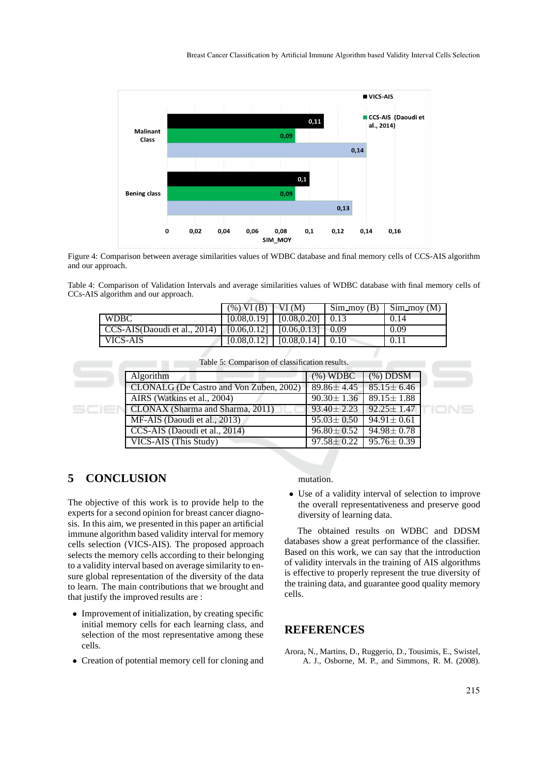

Figure 4: Comparison between average similarities values of WDBC database and final memory cells of CCS-AIS algorithm and our approach.

Table 4: Comparison of Validation Intervals and average similarities values of WDBC database with final memory cells of CCs-AIS algorithm and our approach.

|                              | $(%)$ VI (B)   VI (M) |                                                                                                                            | $Sim_mov(B)$ | $\sim$ Sim moy (M) |
|------------------------------|-----------------------|----------------------------------------------------------------------------------------------------------------------------|--------------|--------------------|
| <b>WDBC</b>                  |                       | $[0.08, 0.19]$ $[0.08, 0.20]$ $[0.13]$                                                                                     |              | 0.14               |
| CCS-AIS(Daoudi et al., 2014) |                       | $\begin{bmatrix} 0.06, 0.12 \end{bmatrix}$ $\begin{bmatrix} 0.06, 0.13 \end{bmatrix}$ $\begin{bmatrix} 0.09 \end{bmatrix}$ |              | 0.09               |
| VICS-AIS                     | [0.08, 0.12]          | $[0.08, 0.14]$ 0.10                                                                                                        |              | 0.11               |

| Table 5: Comparison of classification results. |                                     |                                          |
|------------------------------------------------|-------------------------------------|------------------------------------------|
| Algorithm                                      | $(\%)$ WDBC                         | $(\%)$ DDSM                              |
| CLONALG (De Castro and Von Zuben, 2002)        | $89.86 \pm 4.45$                    | $85.15 \pm 6.46$                         |
| AIRS (Watkins et al., 2004)                    |                                     | $90.30 \pm 1.36$   89.15 $\pm$ 1.88      |
| CLONAX (Sharma and Sharma, 2011)               |                                     | $93.40 \pm 2.23$ $\sqrt{92.25 \pm 1.47}$ |
| MF-AIS (Daoudi et al., 2013)                   | $95.03 \pm 0.50$   $94.91 \pm 0.61$ |                                          |
| CCS-AIS (Daoudi et al., 2014)                  | $96.80 \pm 0.52$                    | $94.98 \pm 0.78$                         |
| VICS-AIS (This Study)                          |                                     | $97.58 \pm 0.22$ $95.76 \pm 0.39$        |

# **5 CONCLUSION**

The objective of this work is to provide help to the experts for a second opinion for breast cancer diagnosis. In this aim, we presented in this paper an artificial immune algorithm based validity interval for memory cells selection (VICS-AIS). The proposed approach selects the memory cells according to their belonging to a validity interval based on average similarity to ensure global representation of the diversity of the data to learn. The main contributions that we brought and that justify the improved results are :

- Improvement of initialization, by creating specific initial memory cells for each learning class, and selection of the most representative among these cells.
- Creation of potential memory cell for cloning and

#### mutation.

• Use of a validity interval of selection to improve the overall representativeness and preserve good diversity of learning data.

The obtained results on WDBC and DDSM databases show a great performance of the classifier. Based on this work, we can say that the introduction of validity intervals in the training of AIS algorithms is effective to properly represent the true diversity of the training data, and guarantee good quality memory cells.

# **REFERENCES**

Arora, N., Martins, D., Ruggerio, D., Tousimis, E., Swistel, A. J., Osborne, M. P., and Simmons, R. M. (2008).